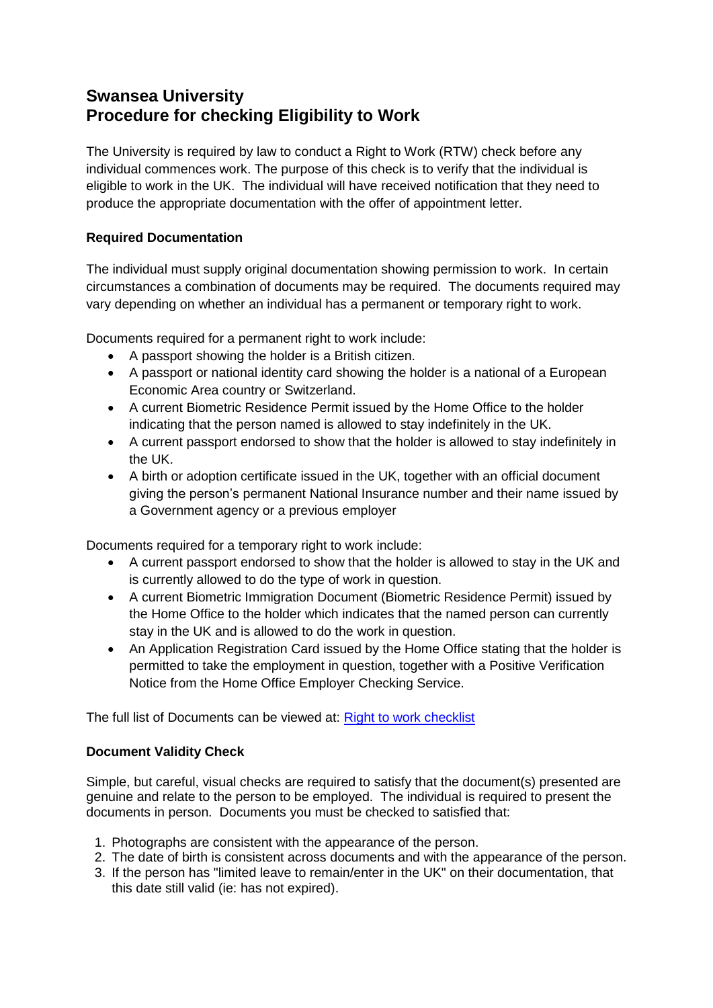# **Swansea University Procedure for checking Eligibility to Work**

The University is required by law to conduct a Right to Work (RTW) check before any individual commences work. The purpose of this check is to verify that the individual is eligible to work in the UK. The individual will have received notification that they need to produce the appropriate documentation with the offer of appointment letter.

## **Required Documentation**

The individual must supply original documentation showing permission to work. In certain circumstances a combination of documents may be required. The documents required may vary depending on whether an individual has a permanent or temporary right to work.

Documents required for a permanent right to work include:

- A passport showing the holder is a British citizen.
- A passport or national identity card showing the holder is a national of a European Economic Area country or Switzerland.
- A current Biometric Residence Permit issued by the Home Office to the holder indicating that the person named is allowed to stay indefinitely in the UK.
- A current passport endorsed to show that the holder is allowed to stay indefinitely in the UK.
- A birth or adoption certificate issued in the UK, together with an official document giving the person's permanent National Insurance number and their name issued by a Government agency or a previous employer

Documents required for a temporary right to work include:

- A current passport endorsed to show that the holder is allowed to stay in the UK and is currently allowed to do the type of work in question.
- A current Biometric Immigration Document (Biometric Residence Permit) issued by the Home Office to the holder which indicates that the named person can currently stay in the UK and is allowed to do the work in question.
- An Application Registration Card issued by the Home Office stating that the holder is permitted to take the employment in question, together with a Positive Verification Notice from the Home Office Employer Checking Service.

The full list of Documents can be viewed at: [Right to work checklist](https://www.gov.uk/government/uploads/system/uploads/attachment_data/file/378926/employers_right_to_work_checklist_november_2014.pdf)

## **Document Validity Check**

Simple, but careful, visual checks are required to satisfy that the document(s) presented are genuine and relate to the person to be employed. The individual is required to present the documents in person. Documents you must be checked to satisfied that:

- 1. Photographs are consistent with the appearance of the person.
- 2. The date of birth is consistent across documents and with the appearance of the person.
- 3. If the person has "limited leave to remain/enter in the UK" on their documentation, that this date still valid (ie: has not expired).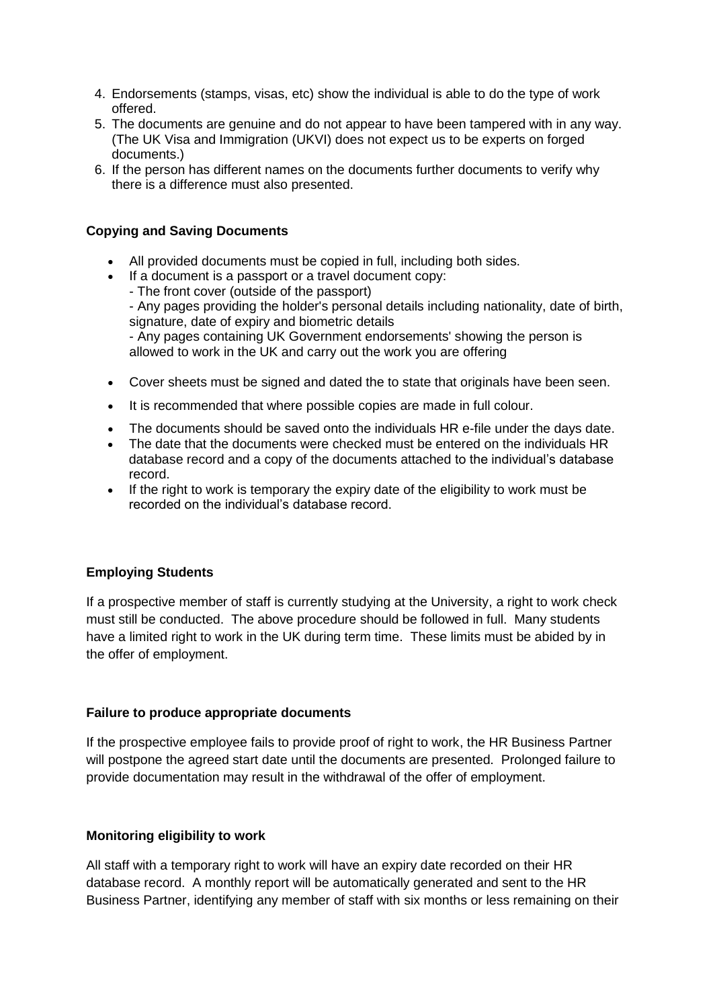- 4. Endorsements (stamps, visas, etc) show the individual is able to do the type of work offered.
- 5. The documents are genuine and do not appear to have been tampered with in any way. (The UK Visa and Immigration (UKVI) does not expect us to be experts on forged documents.)
- 6. If the person has different names on the documents further documents to verify why there is a difference must also presented.

### **Copying and Saving Documents**

- All provided documents must be copied in full, including both sides.
- If a document is a passport or a travel document copy:
	- The front cover (outside of the passport)

- Any pages providing the holder's personal details including nationality, date of birth, signature, date of expiry and biometric details

- Any pages containing UK Government endorsements' showing the person is allowed to work in the UK and carry out the work you are offering

- Cover sheets must be signed and dated the to state that originals have been seen.
- It is recommended that where possible copies are made in full colour.
- The documents should be saved onto the individuals HR e-file under the days date.
- The date that the documents were checked must be entered on the individuals HR database record and a copy of the documents attached to the individual's database record.
- If the right to work is temporary the expiry date of the eligibility to work must be recorded on the individual's database record.

#### **Employing Students**

If a prospective member of staff is currently studying at the University, a right to work check must still be conducted. The above procedure should be followed in full. Many students have a limited right to work in the UK during term time. These limits must be abided by in the offer of employment.

#### **Failure to produce appropriate documents**

If the prospective employee fails to provide proof of right to work, the HR Business Partner will postpone the agreed start date until the documents are presented. Prolonged failure to provide documentation may result in the withdrawal of the offer of employment.

#### **Monitoring eligibility to work**

All staff with a temporary right to work will have an expiry date recorded on their HR database record. A monthly report will be automatically generated and sent to the HR Business Partner, identifying any member of staff with six months or less remaining on their